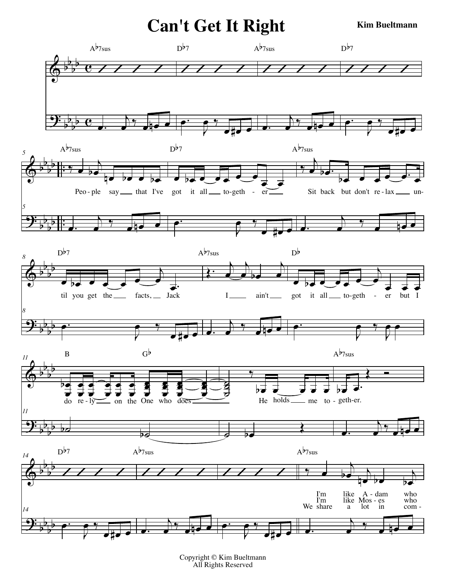**Can't Get It Right** 

**Kim Bueltmann** 



Copyright © Kim Bueltmann All Rights Reserved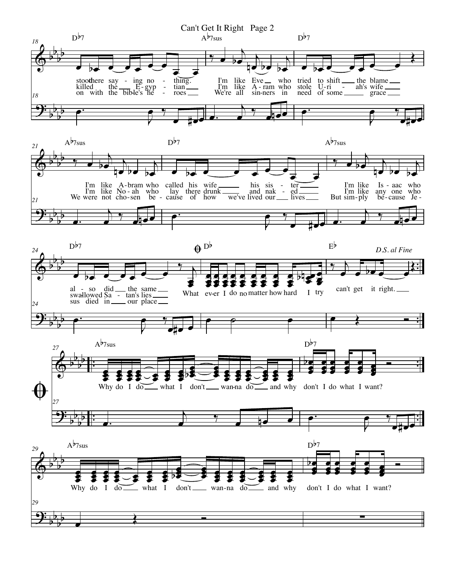